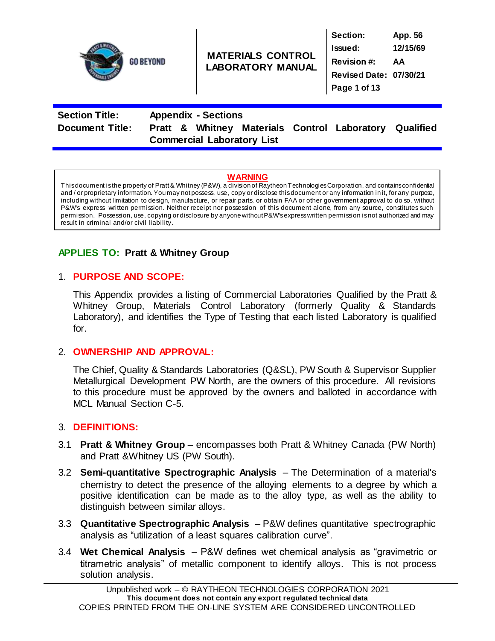

# **MATERIALS CONTROL LABORATORY MANUAL**

**Section: App. 56 Issued: 12/15/69 Revision #: AA Revised Date: 07/30/21 Page 1 of 13**

**Section Title: Appendix - Sections**

**Document Title: Pratt & Whitney Materials Control Laboratory Qualified Commercial Laboratory List**

#### **WARNING**

This document is the property of Pratt& Whitney (P&W), a division of Raytheon Technologies Corporation, and contains confidential and / or proprietary information. You may not possess, use, copy or disclose this document or any information in it, for any purpose, including without limitation to design, manufacture, or repair parts, or obtain FAA or other government approval to do so, without P&W's express written permission. Neither receipt nor possession of this document alone, from any source, constitutes such permission. Possession, use, copying or disclosure by anyone without P&W's express written permission is not authorized and may result in criminal and/or civil liability.

### **APPLIES TO: Pratt & Whitney Group**

#### 1. **PURPOSE AND SCOPE:**

This Appendix provides a listing of Commercial Laboratories Qualified by the Pratt & Whitney Group, Materials Control Laboratory (formerly Quality & Standards Laboratory), and identifies the Type of Testing that each listed Laboratory is qualified for.

#### 2. **OWNERSHIP AND APPROVAL:**

The Chief, Quality & Standards Laboratories (Q&SL), PW South & Supervisor Supplier Metallurgical Development PW North, are the owners of this procedure. All revisions to this procedure must be approved by the owners and balloted in accordance with MCL Manual Section C-5.

#### 3. **DEFINITIONS:**

- 3.1 **Pratt & Whitney Group** encompasses both Pratt & Whitney Canada (PW North) and Pratt &Whitney US (PW South).
- 3.2 **Semi-quantitative Spectrographic Analysis** The Determination of a material's chemistry to detect the presence of the alloying elements to a degree by which a positive identification can be made as to the alloy type, as well as the ability to distinguish between similar alloys.
- 3.3 **Quantitative Spectrographic Analysis** P&W defines quantitative spectrographic analysis as "utilization of a least squares calibration curve".
- 3.4 **Wet Chemical Analysis** P&W defines wet chemical analysis as "gravimetric or titrametric analysis" of metallic component to identify alloys. This is not process solution analysis.